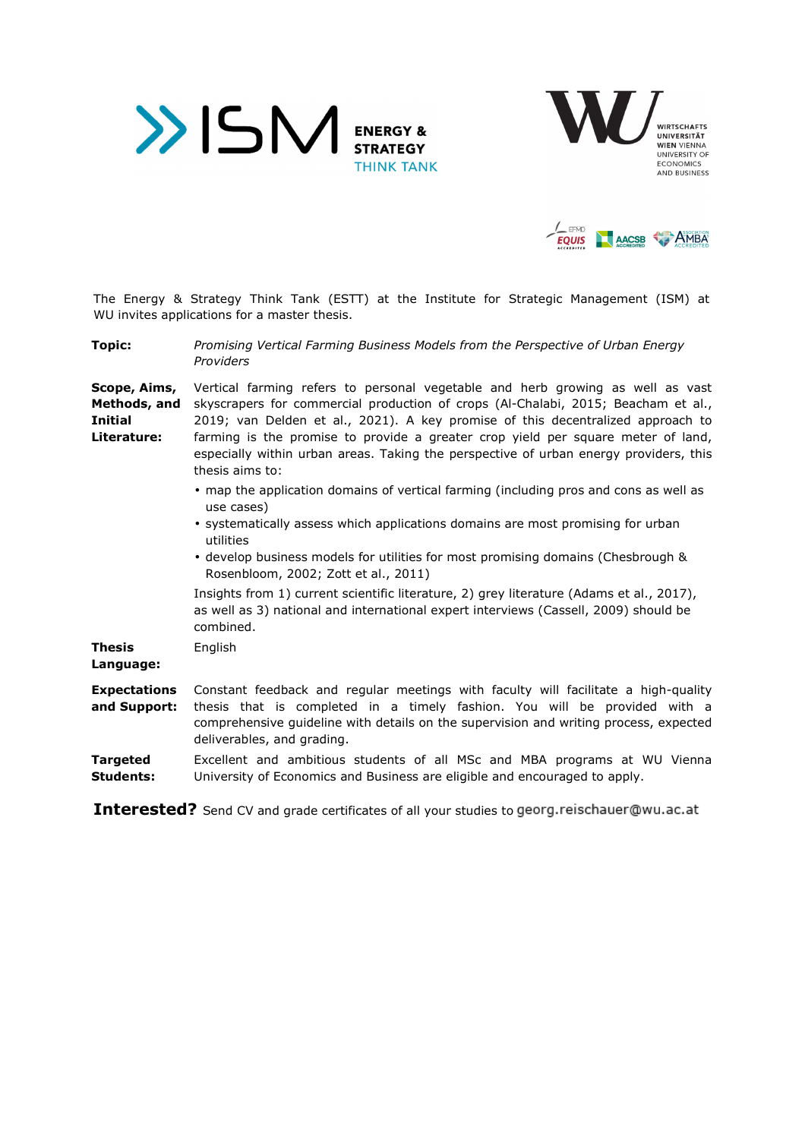





The Energy & Strategy Think Tank (ESTT) at the Institute for Strategic Management (ISM) at WU invites applications for a master thesis.

**Topic:** *Promising Vertical Farming Business Models from the Perspective of Urban Energy Providers* 

**Scope, Aims, Methods, and Initial Literature:**  Vertical farming refers to personal vegetable and herb growing as well as vast skyscrapers for commercial production of crops (Al-Chalabi, 2015; Beacham et al., 2019; van Delden et al., 2021). A key promise of this decentralized approach to farming is the promise to provide a greater crop yield per square meter of land, especially within urban areas. Taking the perspective of urban energy providers, this thesis aims to:

- map the application domains of vertical farming (including pros and cons as well as use cases)
- systematically assess which applications domains are most promising for urban utilities
- develop business models for utilities for most promising domains (Chesbrough & Rosenbloom, 2002; Zott et al., 2011)

Insights from 1) current scientific literature, 2) grey literature (Adams et al., 2017), as well as 3) national and international expert interviews (Cassell, 2009) should be combined.

**Thesis**  English

- **Language:**
- **Expectations and Support:**  Constant feedback and regular meetings with faculty will facilitate a high-quality thesis that is completed in a timely fashion. You will be provided with a comprehensive guideline with details on the supervision and writing process, expected deliverables, and grading.

## **Targeted Students:**  Excellent and ambitious students of all MSc and MBA programs at WU Vienna University of Economics and Business are eligible and encouraged to apply.

Interested? Send CV and grade certificates of all your studies to georg.reischauer@wu.ac.at